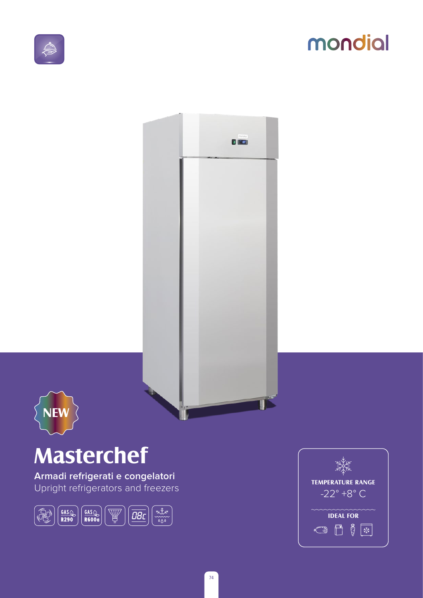

## mondial





# **Masterchef**

Armadi refrigerati e congelatori Upright refrigerators and freezers